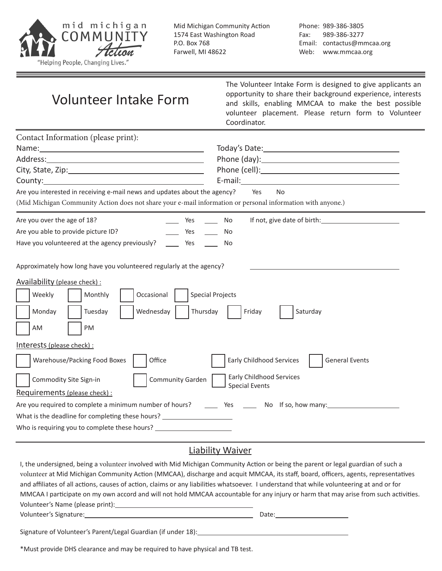

Phone: 989-386-3805 Fax: 989-386-3277 Email: contactus@mmcaa.org Web: www.mmcaa.org

| <b>Volunteer Intake Form</b> |  |  |
|------------------------------|--|--|
|------------------------------|--|--|

The Volunteer Intake Form is designed to give applicants an opportunity to share their background experience, interests and skills, enabling MMCAA to make the best possible volunteer placement. Please return form to Volunteer Coordinator.

| Contact Information (please print):                                                                                                                                                                                          |                                                                                                                                                                                                                               |  |  |
|------------------------------------------------------------------------------------------------------------------------------------------------------------------------------------------------------------------------------|-------------------------------------------------------------------------------------------------------------------------------------------------------------------------------------------------------------------------------|--|--|
|                                                                                                                                                                                                                              |                                                                                                                                                                                                                               |  |  |
|                                                                                                                                                                                                                              | Phone (day): Note also a series and the series of the series of the series of the series of the series of the series of the series of the series of the series of the series of the series of the series of the series of the |  |  |
|                                                                                                                                                                                                                              |                                                                                                                                                                                                                               |  |  |
|                                                                                                                                                                                                                              |                                                                                                                                                                                                                               |  |  |
| Are you interested in receiving e-mail news and updates about the agency?                                                                                                                                                    | <b>No</b><br>Yes                                                                                                                                                                                                              |  |  |
| (Mid Michigan Community Action does not share your e-mail information or personal information with anyone.)                                                                                                                  |                                                                                                                                                                                                                               |  |  |
| Are you over the age of 18?<br>Yes<br>$\mathcal{L}^{\text{max}}$                                                                                                                                                             | No                                                                                                                                                                                                                            |  |  |
| Are you able to provide picture ID?<br>Yes<br>$\sim$                                                                                                                                                                         | <b>No</b>                                                                                                                                                                                                                     |  |  |
| Have you volunteered at the agency previously?<br>$\rule{1em}{0.15mm}$ Yes                                                                                                                                                   | No                                                                                                                                                                                                                            |  |  |
| Approximately how long have you volunteered regularly at the agency?<br>Availability (please check):<br><b>Special Projects</b><br>Weekly<br>Monthly<br>Occasional<br>Wednesday<br>Thursday<br>Monday<br>Tuesday<br>PM<br>AM | Friday<br>Saturday                                                                                                                                                                                                            |  |  |
| Interests (please check):<br>Warehouse/Packing Food Boxes<br>Office                                                                                                                                                          | <b>Early Childhood Services</b><br><b>General Events</b>                                                                                                                                                                      |  |  |
| <b>Early Childhood Services</b><br>Community Garden<br>Commodity Site Sign-in<br><b>Special Events</b>                                                                                                                       |                                                                                                                                                                                                                               |  |  |
| Requirements (please check) :                                                                                                                                                                                                |                                                                                                                                                                                                                               |  |  |
| Are you required to complete a minimum number of hours?<br>Ves No If so, how many:                                                                                                                                           |                                                                                                                                                                                                                               |  |  |
| What is the deadline for completing these hours? _______________________________                                                                                                                                             |                                                                                                                                                                                                                               |  |  |
| Who is requiring you to complete these hours? __________________________________                                                                                                                                             |                                                                                                                                                                                                                               |  |  |

#### Liability Waiver

I, the undersigned, being a volunteer involved with Mid Michigan Community Action or being the parent or legal guardian of such a volunteer at Mid Michigan Community Action (MMCAA), discharge and acquit MMCAA, its staff, board, officers, agents, representatives and affiliates of all actions, causes of action, claims or any liabilities whatsoever. I understand that while volunteering at and or for MMCAA I participate on my own accord and will not hold MMCAA accountable for any injury or harm that may arise from such activities. Volunteer's Name (please print): Volunteer's Signature: Date: Signature of Volunteer's Parent/Legal Guardian (if under 18):

\*Must provide DHS clearance and may be required to have physical and TB test.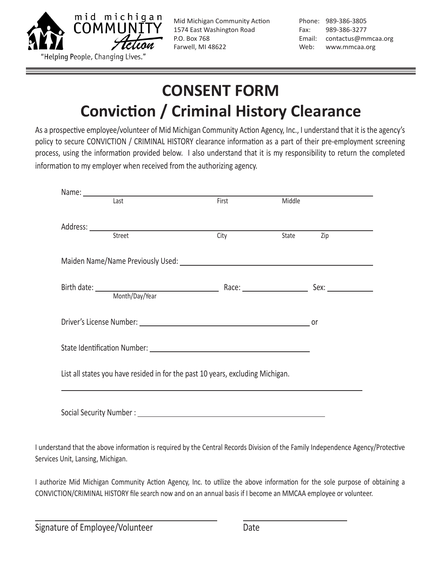

Phone: 989-386-3805 Fax: 989-386-3277 Email: contactus@mmcaa.org Web: www.mmcaa.org

# **CONSENT FORM Conviction / Criminal History Clearance**

As a prospective employee/volunteer of Mid Michigan Community Action Agency, Inc., I understand that it is the agency's policy to secure CONVICTION / CRIMINAL HISTORY clearance information as a part of their pre-employment screening process, using the information provided below. I also understand that it is my responsibility to return the completed information to my employer when received from the authorizing agency.

|                                                                                | Name: Last                            | First | Middle |                  |
|--------------------------------------------------------------------------------|---------------------------------------|-------|--------|------------------|
|                                                                                | Address: <u>City Street City City</u> | City  | State  | $\overline{Zip}$ |
|                                                                                |                                       |       |        |                  |
|                                                                                |                                       |       |        |                  |
|                                                                                |                                       |       |        |                  |
|                                                                                |                                       |       |        |                  |
|                                                                                |                                       |       |        |                  |
|                                                                                |                                       |       |        |                  |
| List all states you have resided in for the past 10 years, excluding Michigan. |                                       |       |        |                  |
|                                                                                |                                       |       |        |                  |

I understand that the above information is required by the Central Records Division of the Family Independence Agency/Protective Services Unit, Lansing, Michigan.

I authorize Mid Michigan Community Action Agency, Inc. to utilize the above information for the sole purpose of obtaining a CONVICTION/CRIMINAL HISTORY file search now and on an annual basis if I become an MMCAA employee or volunteer.

Signature of Employee/Volunteer Date

 $\overline{a}$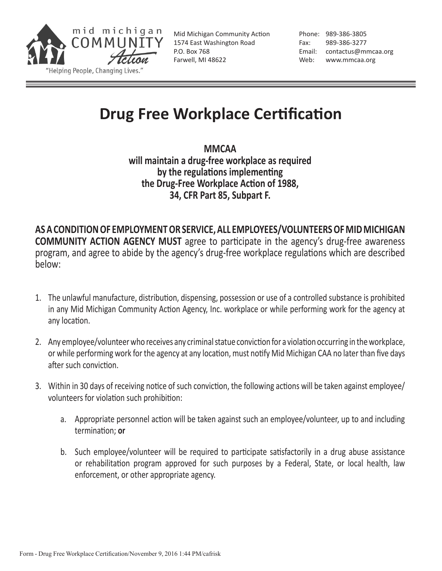

Phone: 989-386-3805 Fax: 989-386-3277 Email: contactus@mmcaa.org Web: www.mmcaa.org

### **Drug Free Workplace Certification**

**MMCAA will maintain a drug-free workplace as required by the regulations implementing the Drug-Free Workplace Action of 1988, 34, CFR Part 85, Subpart F.**

**AS A CONDITION OF EMPLOYMENT OR SERVICE, ALL EMPLOYEES/VOLUNTEERS OF MID MICHIGAN COMMUNITY ACTION AGENCY MUST** agree to participate in the agency's drug-free awareness program, and agree to abide by the agency's drug-free workplace regulations which are described below:

- 1. The unlawful manufacture, distribution, dispensing, possession or use of a controlled substance is prohibited in any Mid Michigan Community Action Agency, Inc. workplace or while performing work for the agency at any location.
- 2. Any employee/volunteer who receives any criminal statue conviction for a violation occurring in the workplace, or while performing work for the agency at any location, must notify Mid Michigan CAA no later than five days after such conviction.
- 3. Within in 30 days of receiving notice of such conviction, the following actions will be taken against employee/ volunteers for violation such prohibition:
	- a. Appropriate personnel action will be taken against such an employee/volunteer, up to and including termination; **or**
	- b. Such employee/volunteer will be required to participate satisfactorily in a drug abuse assistance or rehabilitation program approved for such purposes by a Federal, State, or local health, law enforcement, or other appropriate agency.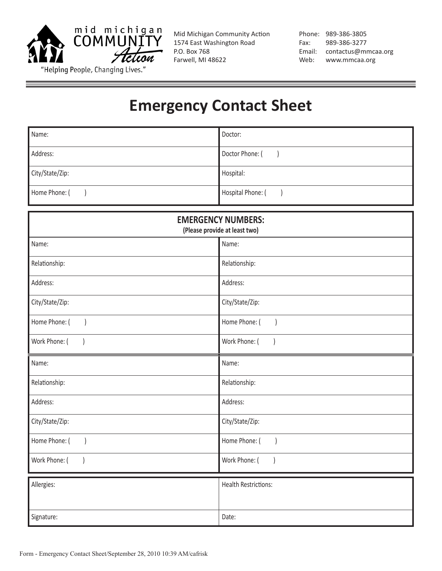

Phone: 989-386-3805 Fax: 989-386-3277 Email: contactus@mmcaa.org Web: www.mmcaa.org

### **Emergency Contact Sheet**

| Name:           | Doctor:           |
|-----------------|-------------------|
| Address:        | Doctor Phone: (   |
| City/State/Zip: | Hospital:         |
| Home Phone: (   | Hospital Phone: ( |

| <b>EMERGENCY NUMBERS:</b><br>(Please provide at least two) |                                   |  |
|------------------------------------------------------------|-----------------------------------|--|
| Name:                                                      | Name:                             |  |
| Relationship:                                              | Relationship:                     |  |
| Address:                                                   | Address:                          |  |
| City/State/Zip:                                            | City/State/Zip:                   |  |
| Home Phone: (<br>$\left( \right)$                          | Home Phone: (<br>$\left( \right)$ |  |
| Work Phone: (                                              | Work Phone: (                     |  |
| Name:                                                      | Name:                             |  |
| Relationship:                                              | Relationship:                     |  |
| Address:                                                   | Address:                          |  |
| City/State/Zip:                                            | City/State/Zip:                   |  |
| Home Phone: (<br>$\overline{)}$                            | Home Phone: (<br>$\overline{)}$   |  |
| Work Phone: (                                              | Work Phone: (                     |  |
| Allergies:                                                 | <b>Health Restrictions:</b>       |  |
|                                                            |                                   |  |
| Signature:                                                 | Date:                             |  |